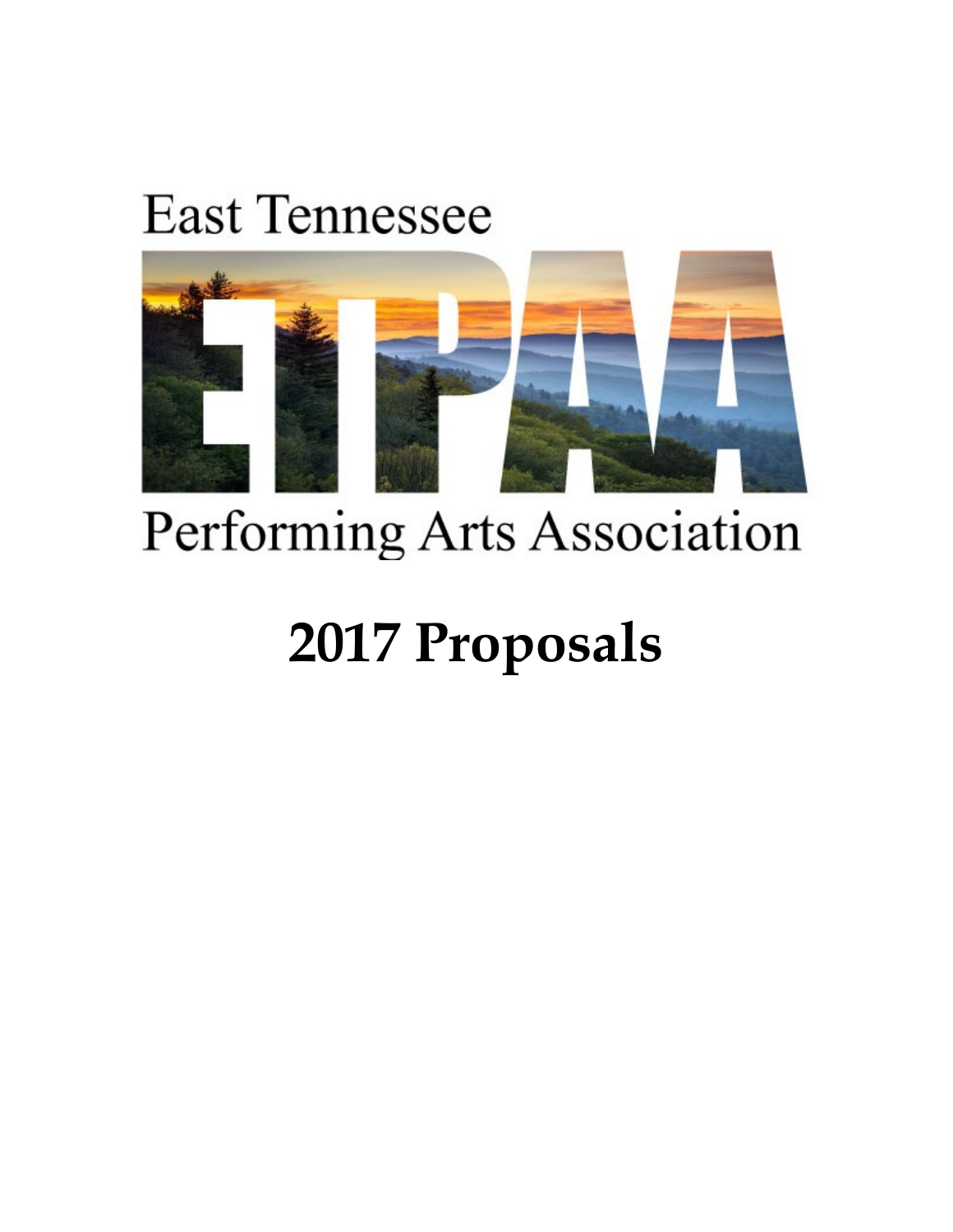## **East Tennessee**



## Performing Arts Association

# **2017 Proposals**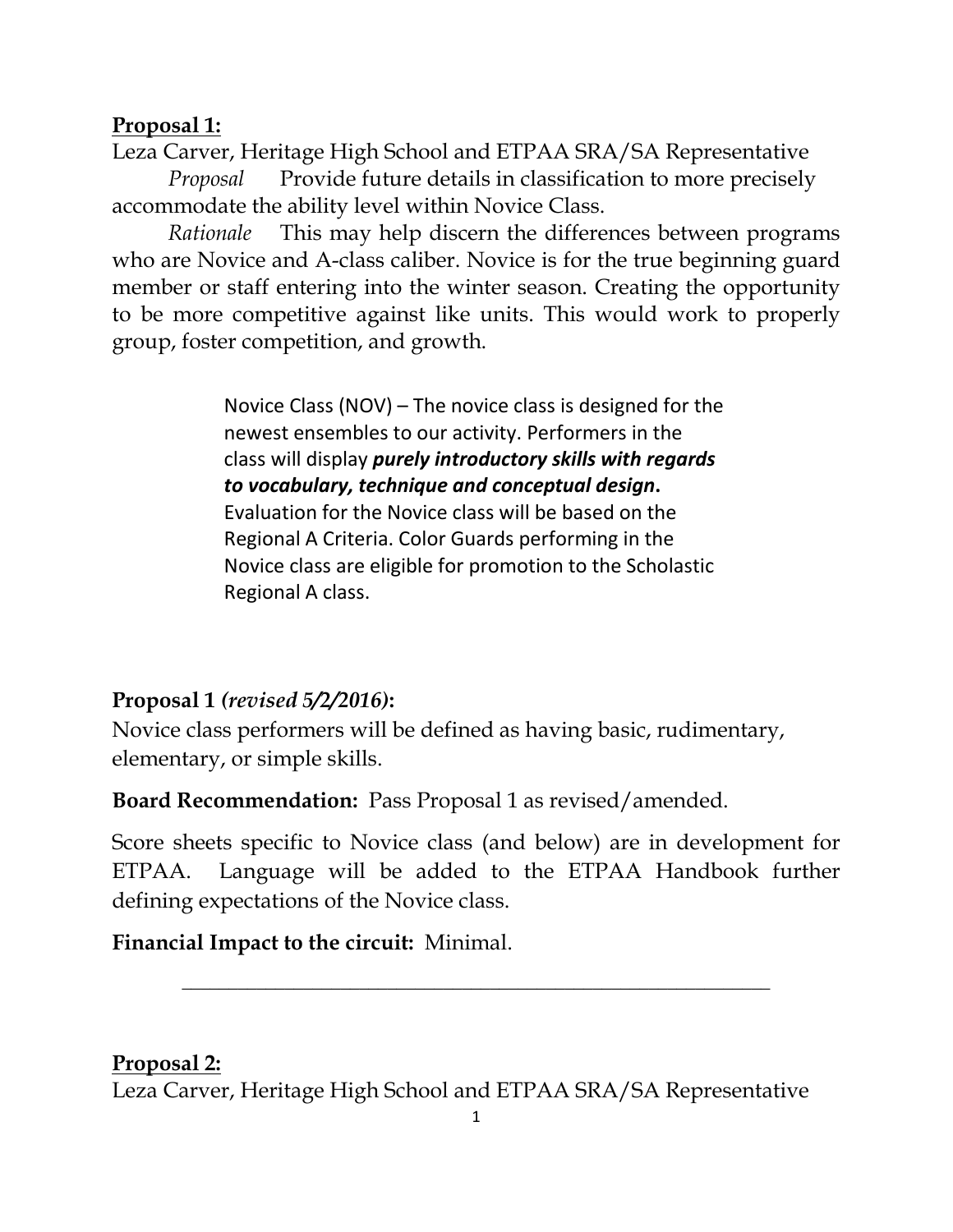#### **Proposal 1:**

Leza Carver, Heritage High School and ETPAA SRA/SA Representative

*Proposal* Provide future details in classification to more precisely accommodate the ability level within Novice Class.

*Rationale* This may help discern the differences between programs who are Novice and A-class caliber. Novice is for the true beginning guard member or staff entering into the winter season. Creating the opportunity to be more competitive against like units. This would work to properly group, foster competition, and growth.

> Novice Class (NOV) – The novice class is designed for the newest ensembles to our activity. Performers in the class will display *purely introductory skills with regards to vocabulary, technique and conceptual design***.** Evaluation for the Novice class will be based on the Regional A Criteria. Color Guards performing in the Novice class are eligible for promotion to the Scholastic Regional A class.

## **Proposal 1** *(revised 5/2/2016)***:**

Novice class performers will be defined as having basic, rudimentary, elementary, or simple skills.

**Board Recommendation:** Pass Proposal 1 as revised/amended.

Score sheets specific to Novice class (and below) are in development for ETPAA. Language will be added to the ETPAA Handbook further defining expectations of the Novice class.

**\_\_\_\_\_\_\_\_\_\_\_\_\_\_\_\_\_\_\_\_\_\_\_\_\_\_\_\_\_\_\_\_\_\_\_\_\_\_\_\_\_\_\_\_\_\_\_\_\_\_\_\_\_\_\_\_\_\_\_\_\_\_\_**

## **Financial Impact to the circuit:** Minimal.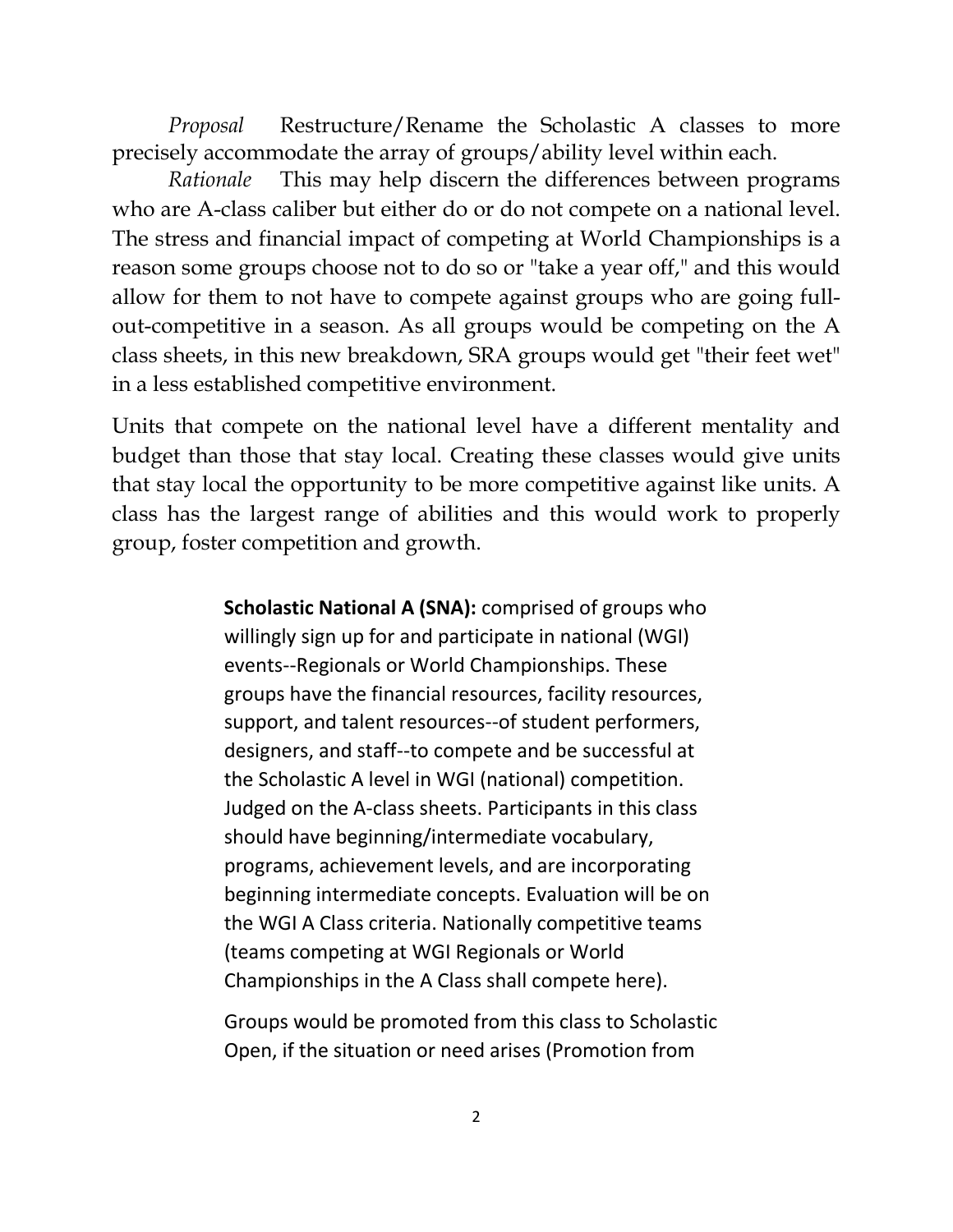*Proposal* Restructure/Rename the Scholastic A classes to more precisely accommodate the array of groups/ability level within each.

*Rationale* This may help discern the differences between programs who are A-class caliber but either do or do not compete on a national level. The stress and financial impact of competing at World Championships is a reason some groups choose not to do so or "take a year off," and this would allow for them to not have to compete against groups who are going fullout-competitive in a season. As all groups would be competing on the A class sheets, in this new breakdown, SRA groups would get "their feet wet" in a less established competitive environment.

Units that compete on the national level have a different mentality and budget than those that stay local. Creating these classes would give units that stay local the opportunity to be more competitive against like units. A class has the largest range of abilities and this would work to properly group, foster competition and growth.

> **Scholastic National A (SNA):** comprised of groups who willingly sign up for and participate in national (WGI) events--Regionals or World Championships. These groups have the financial resources, facility resources, support, and talent resources--of student performers, designers, and staff--to compete and be successful at the Scholastic A level in WGI (national) competition. Judged on the A-class sheets. Participants in this class should have beginning/intermediate vocabulary, programs, achievement levels, and are incorporating beginning intermediate concepts. Evaluation will be on the WGI A Class criteria. Nationally competitive teams (teams competing at WGI Regionals or World Championships in the A Class shall compete here).

Groups would be promoted from this class to Scholastic Open, if the situation or need arises (Promotion from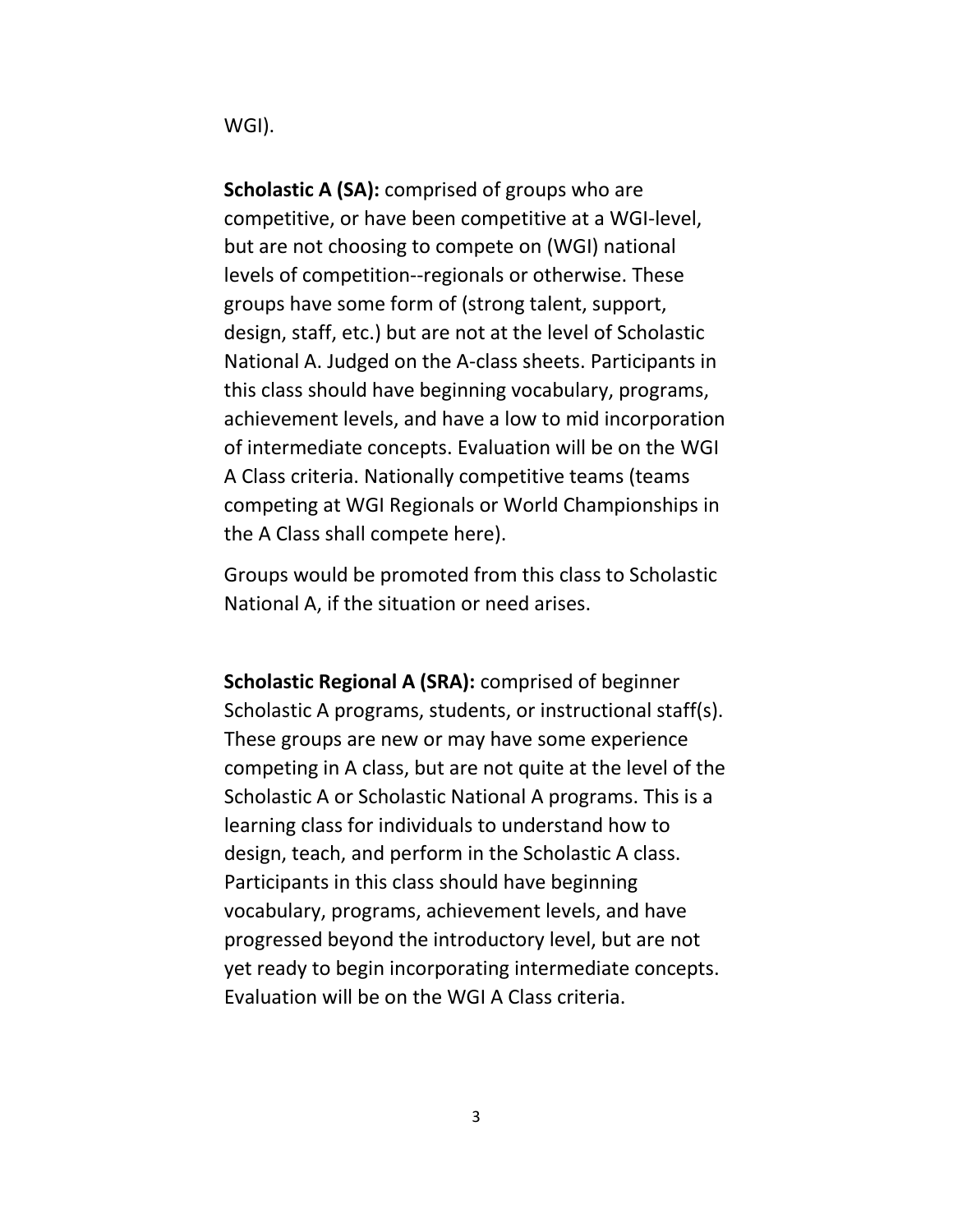WGI).

**Scholastic A (SA):** comprised of groups who are competitive, or have been competitive at a WGI-level, but are not choosing to compete on (WGI) national levels of competition--regionals or otherwise. These groups have some form of (strong talent, support, design, staff, etc.) but are not at the level of Scholastic National A. Judged on the A-class sheets. Participants in this class should have beginning vocabulary, programs, achievement levels, and have a low to mid incorporation of intermediate concepts. Evaluation will be on the WGI A Class criteria. Nationally competitive teams (teams competing at WGI Regionals or World Championships in the A Class shall compete here).

Groups would be promoted from this class to Scholastic National A, if the situation or need arises.

**Scholastic Regional A (SRA):** comprised of beginner Scholastic A programs, students, or instructional staff(s). These groups are new or may have some experience competing in A class, but are not quite at the level of the Scholastic A or Scholastic National A programs. This is a learning class for individuals to understand how to design, teach, and perform in the Scholastic A class. Participants in this class should have beginning vocabulary, programs, achievement levels, and have progressed beyond the introductory level, but are not yet ready to begin incorporating intermediate concepts. Evaluation will be on the WGI A Class criteria.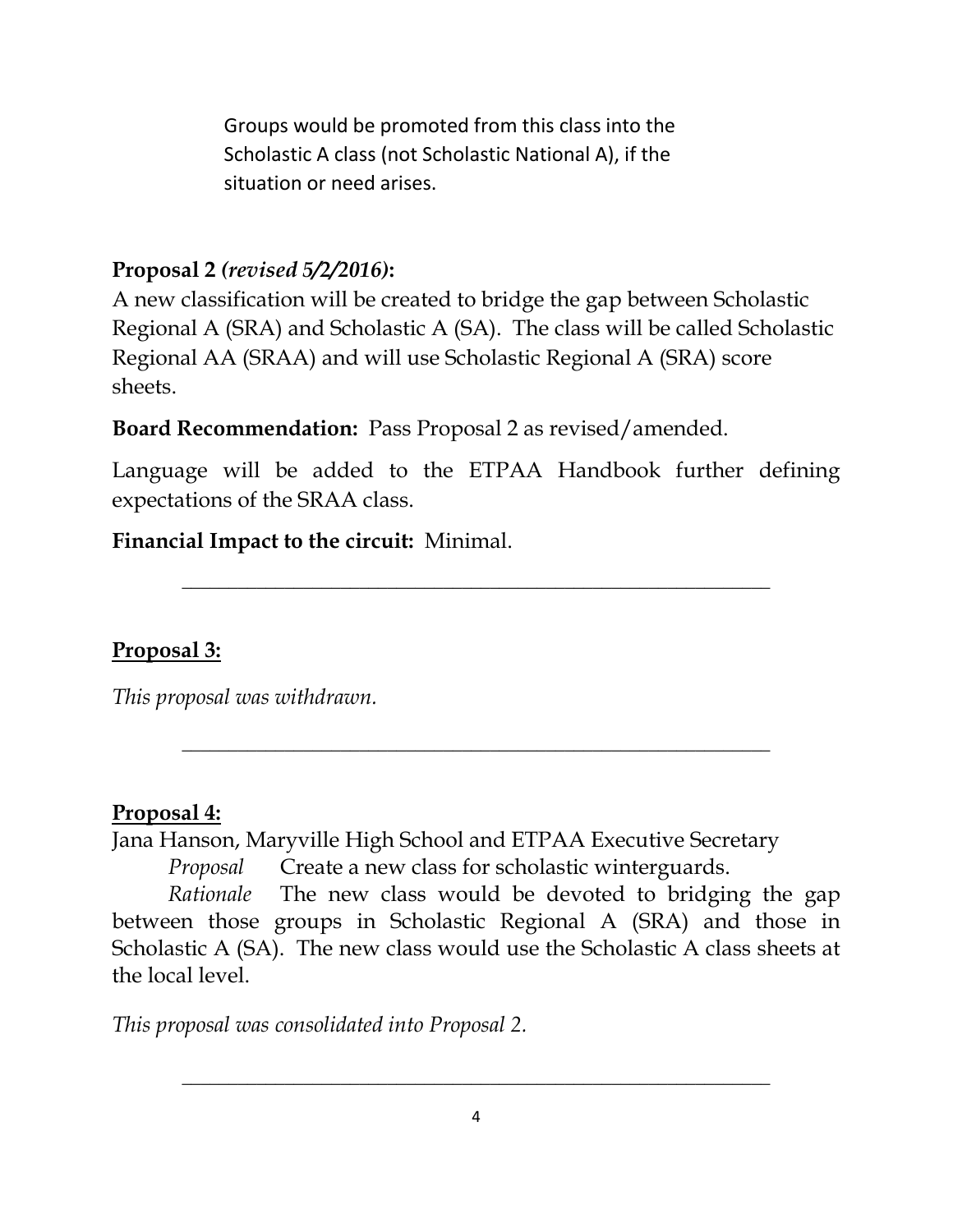Groups would be promoted from this class into the Scholastic A class (not Scholastic National A), if the situation or need arises.

#### **Proposal 2** *(revised 5/2/2016)***:**

A new classification will be created to bridge the gap between Scholastic Regional A (SRA) and Scholastic A (SA). The class will be called Scholastic Regional AA (SRAA) and will use Scholastic Regional A (SRA) score sheets.

**Board Recommendation:** Pass Proposal 2 as revised/amended.

Language will be added to the ETPAA Handbook further defining expectations of the SRAA class.

**\_\_\_\_\_\_\_\_\_\_\_\_\_\_\_\_\_\_\_\_\_\_\_\_\_\_\_\_\_\_\_\_\_\_\_\_\_\_\_\_\_\_\_\_\_\_\_\_\_\_\_\_\_\_\_\_\_\_\_\_\_\_\_**

**\_\_\_\_\_\_\_\_\_\_\_\_\_\_\_\_\_\_\_\_\_\_\_\_\_\_\_\_\_\_\_\_\_\_\_\_\_\_\_\_\_\_\_\_\_\_\_\_\_\_\_\_\_\_\_\_\_\_\_\_\_\_\_**

#### **Financial Impact to the circuit:** Minimal.

**Proposal 3:**

*This proposal was withdrawn.* 

#### **Proposal 4:**

Jana Hanson, Maryville High School and ETPAA Executive Secretary

*Proposal* Create a new class for scholastic winterguards.

*Rationale* The new class would be devoted to bridging the gap between those groups in Scholastic Regional A (SRA) and those in Scholastic A (SA). The new class would use the Scholastic A class sheets at the local level.

*This proposal was consolidated into Proposal 2.*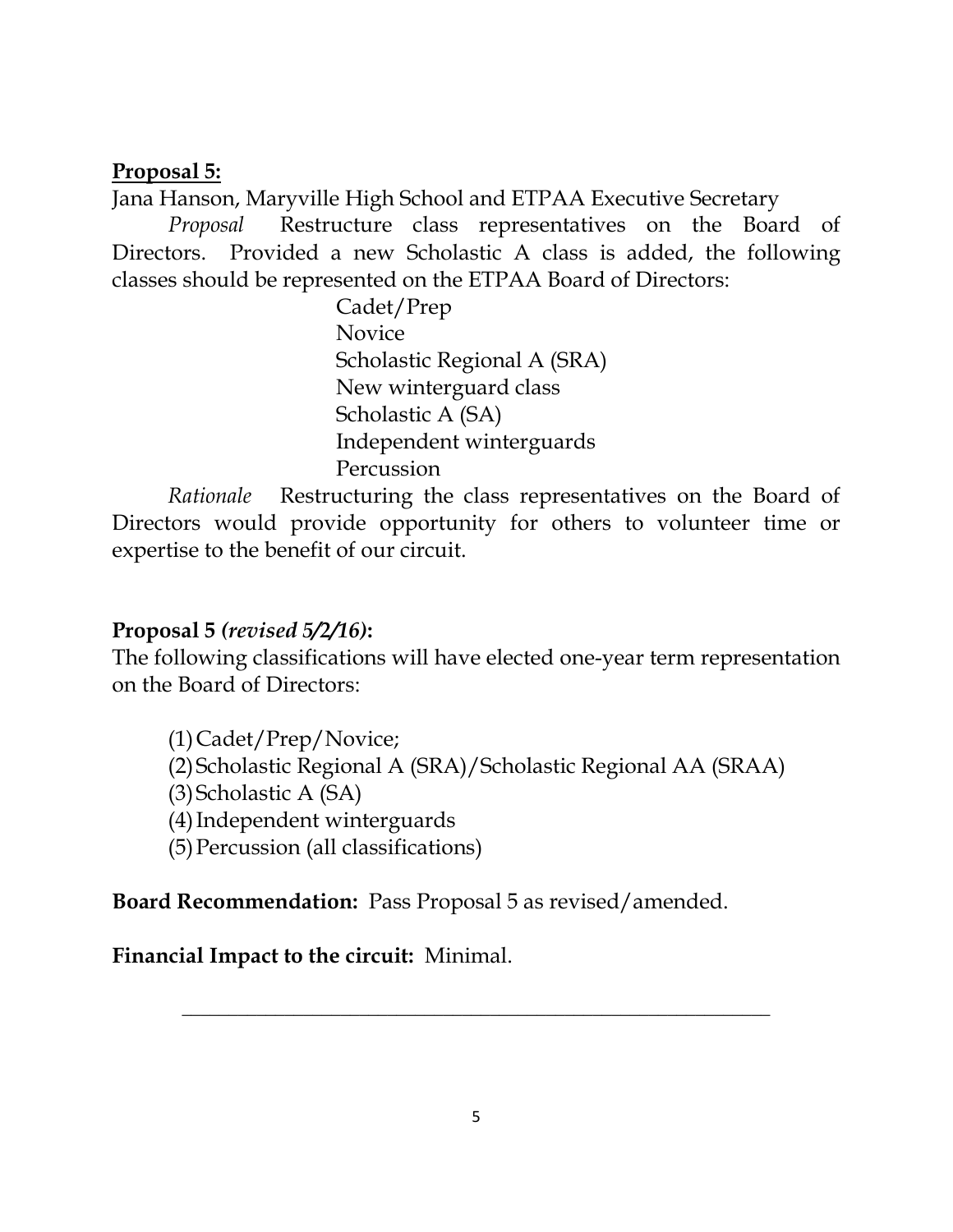#### **Proposal 5:**

Jana Hanson, Maryville High School and ETPAA Executive Secretary

*Proposal* Restructure class representatives on the Board of Directors. Provided a new Scholastic A class is added, the following classes should be represented on the ETPAA Board of Directors:

> Cadet/Prep Novice Scholastic Regional A (SRA) New winterguard class Scholastic A (SA) Independent winterguards Percussion

*Rationale* Restructuring the class representatives on the Board of Directors would provide opportunity for others to volunteer time or expertise to the benefit of our circuit.

#### **Proposal 5** *(revised 5/2/16)***:**

The following classifications will have elected one-year term representation on the Board of Directors:

(1)Cadet/Prep/Novice; (2)Scholastic Regional A (SRA)/Scholastic Regional AA (SRAA) (3)Scholastic A (SA) (4)Independent winterguards (5)Percussion (all classifications)

**Board Recommendation:** Pass Proposal 5 as revised/amended.

**Financial Impact to the circuit:** Minimal.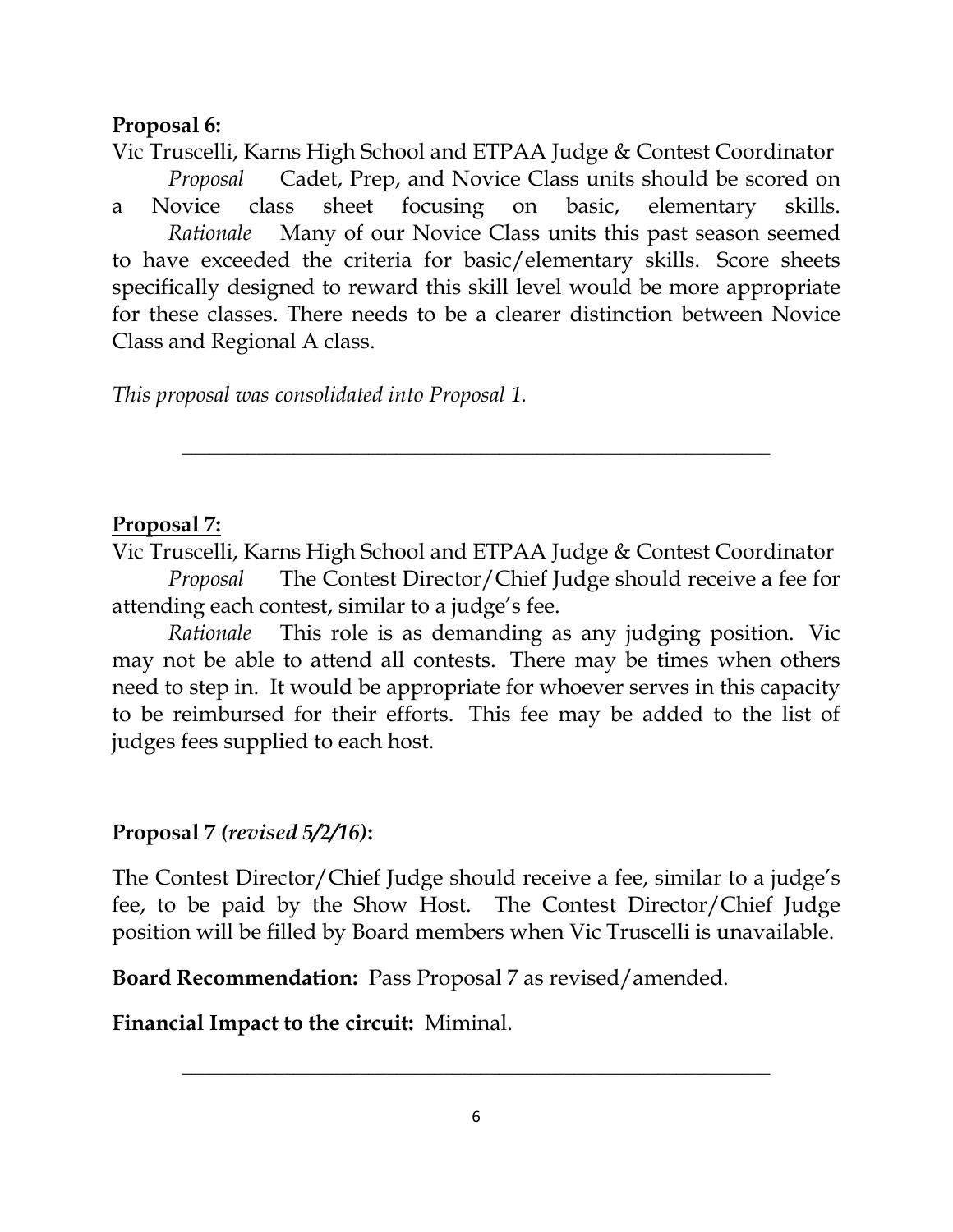#### **Proposal 6:**

Vic Truscelli, Karns High School and ETPAA Judge & Contest Coordinator *Proposal* Cadet, Prep, and Novice Class units should be scored on a Novice class sheet focusing on basic, elementary skills. *Rationale* Many of our Novice Class units this past season seemed to have exceeded the criteria for basic/elementary skills. Score sheets specifically designed to reward this skill level would be more appropriate for these classes. There needs to be a clearer distinction between Novice Class and Regional A class.

*This proposal was consolidated into Proposal 1.* 

### **Proposal 7:**

Vic Truscelli, Karns High School and ETPAA Judge & Contest Coordinator *Proposal* The Contest Director/Chief Judge should receive a fee for attending each contest, similar to a judge's fee.

**\_\_\_\_\_\_\_\_\_\_\_\_\_\_\_\_\_\_\_\_\_\_\_\_\_\_\_\_\_\_\_\_\_\_\_\_\_\_\_\_\_\_\_\_\_\_\_\_\_\_\_\_\_\_\_\_\_\_\_\_\_\_\_**

 *Rationale* This role is as demanding as any judging position. Vic may not be able to attend all contests. There may be times when others need to step in. It would be appropriate for whoever serves in this capacity to be reimbursed for their efforts. This fee may be added to the list of judges fees supplied to each host.

#### **Proposal 7** *(revised 5/2/16)***:**

The Contest Director/Chief Judge should receive a fee, similar to a judge's fee, to be paid by the Show Host. The Contest Director/Chief Judge position will be filled by Board members when Vic Truscelli is unavailable.

**Board Recommendation:** Pass Proposal 7 as revised/amended.

**Financial Impact to the circuit:** Miminal.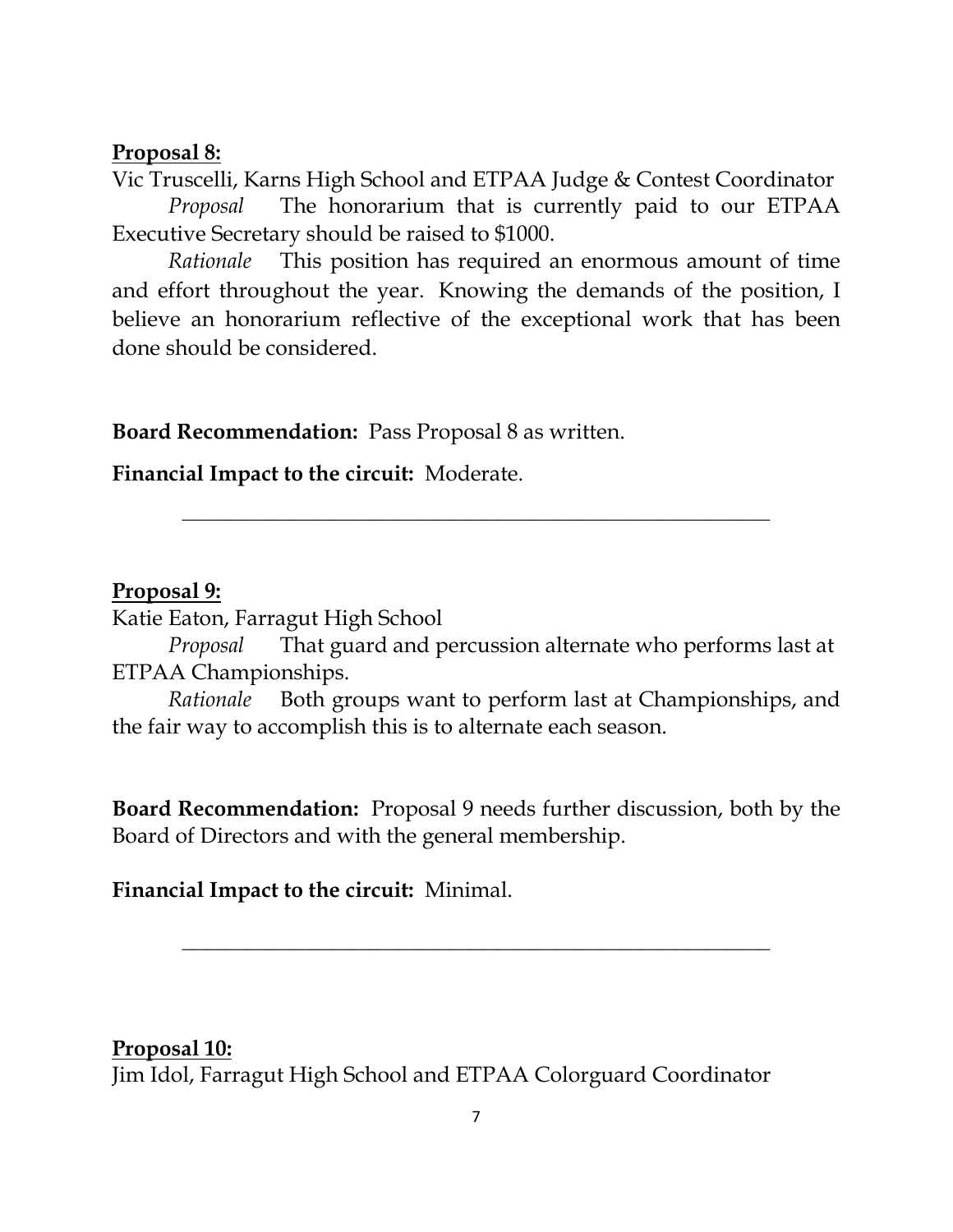#### **Proposal 8:**

Vic Truscelli, Karns High School and ETPAA Judge & Contest Coordinator *Proposal* The honorarium that is currently paid to our ETPAA Executive Secretary should be raised to \$1000.

 *Rationale* This position has required an enormous amount of time and effort throughout the year. Knowing the demands of the position, I believe an honorarium reflective of the exceptional work that has been done should be considered.

**Board Recommendation:** Pass Proposal 8 as written.

**Financial Impact to the circuit:** Moderate.

#### **Proposal 9:**

Katie Eaton, Farragut High School

*Proposal* That guard and percussion alternate who performs last at ETPAA Championships.

**\_\_\_\_\_\_\_\_\_\_\_\_\_\_\_\_\_\_\_\_\_\_\_\_\_\_\_\_\_\_\_\_\_\_\_\_\_\_\_\_\_\_\_\_\_\_\_\_\_\_\_\_\_\_\_\_\_\_\_\_\_\_\_**

*Rationale* Both groups want to perform last at Championships, and the fair way to accomplish this is to alternate each season.

**Board Recommendation:** Proposal 9 needs further discussion, both by the Board of Directors and with the general membership.

**\_\_\_\_\_\_\_\_\_\_\_\_\_\_\_\_\_\_\_\_\_\_\_\_\_\_\_\_\_\_\_\_\_\_\_\_\_\_\_\_\_\_\_\_\_\_\_\_\_\_\_\_\_\_\_\_\_\_\_\_\_\_\_**

**Financial Impact to the circuit:** Minimal.

**Proposal 10:** Jim Idol, Farragut High School and ETPAA Colorguard Coordinator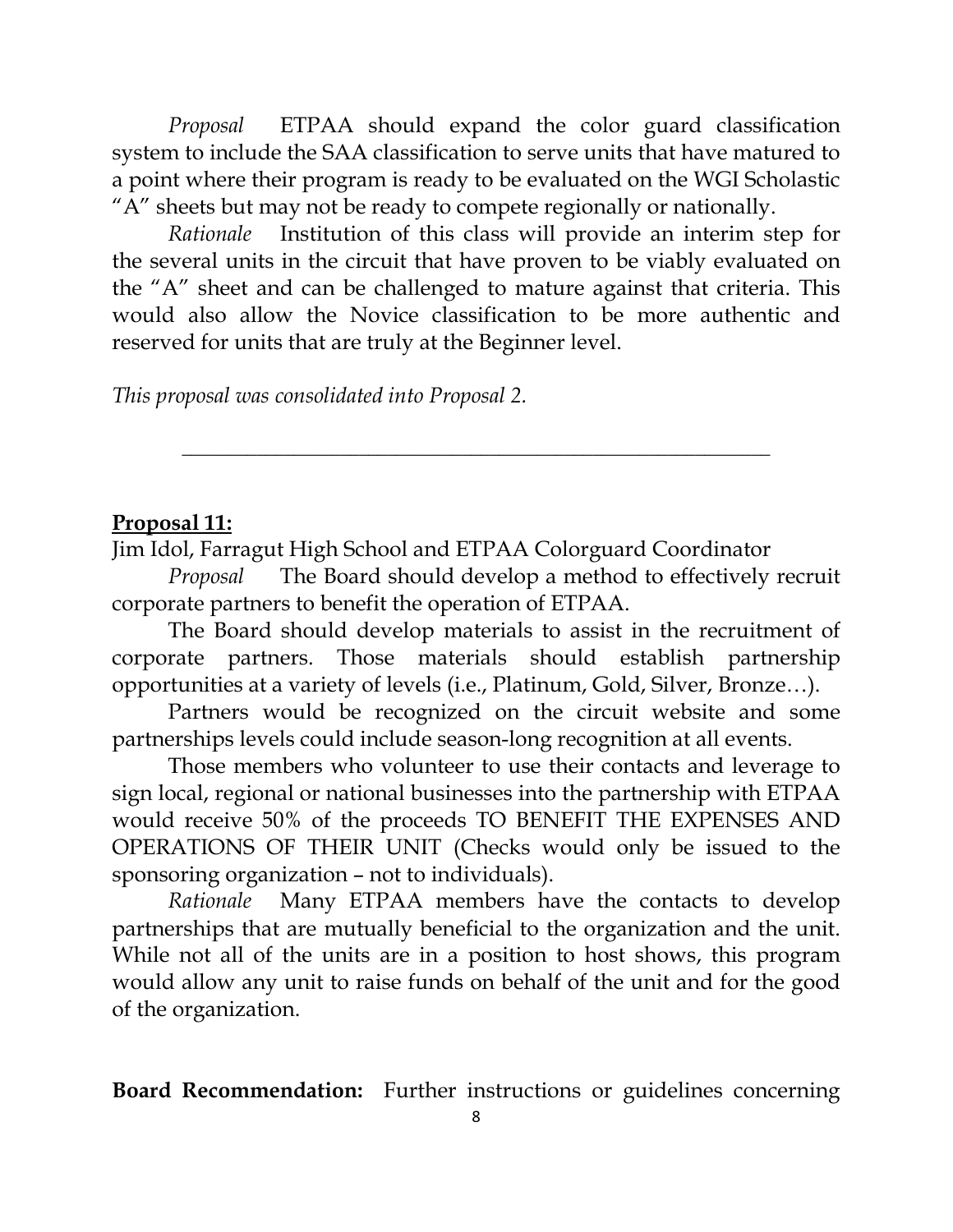*Proposal* ETPAA should expand the color guard classification system to include the SAA classification to serve units that have matured to a point where their program is ready to be evaluated on the WGI Scholastic "A" sheets but may not be ready to compete regionally or nationally.

*Rationale* Institution of this class will provide an interim step for the several units in the circuit that have proven to be viably evaluated on the "A" sheet and can be challenged to mature against that criteria. This would also allow the Novice classification to be more authentic and reserved for units that are truly at the Beginner level.

*This proposal was consolidated into Proposal 2.* 

#### **Proposal 11:**

Jim Idol, Farragut High School and ETPAA Colorguard Coordinator

*Proposal* The Board should develop a method to effectively recruit corporate partners to benefit the operation of ETPAA.

**\_\_\_\_\_\_\_\_\_\_\_\_\_\_\_\_\_\_\_\_\_\_\_\_\_\_\_\_\_\_\_\_\_\_\_\_\_\_\_\_\_\_\_\_\_\_\_\_\_\_\_\_\_\_\_\_\_\_\_\_\_\_\_**

The Board should develop materials to assist in the recruitment of corporate partners. Those materials should establish partnership opportunities at a variety of levels (i.e., Platinum, Gold, Silver, Bronze…).

Partners would be recognized on the circuit website and some partnerships levels could include season-long recognition at all events.

Those members who volunteer to use their contacts and leverage to sign local, regional or national businesses into the partnership with ETPAA would receive 50% of the proceeds TO BENEFIT THE EXPENSES AND OPERATIONS OF THEIR UNIT (Checks would only be issued to the sponsoring organization – not to individuals).

*Rationale* Many ETPAA members have the contacts to develop partnerships that are mutually beneficial to the organization and the unit. While not all of the units are in a position to host shows, this program would allow any unit to raise funds on behalf of the unit and for the good of the organization.

**Board Recommendation:** Further instructions or guidelines concerning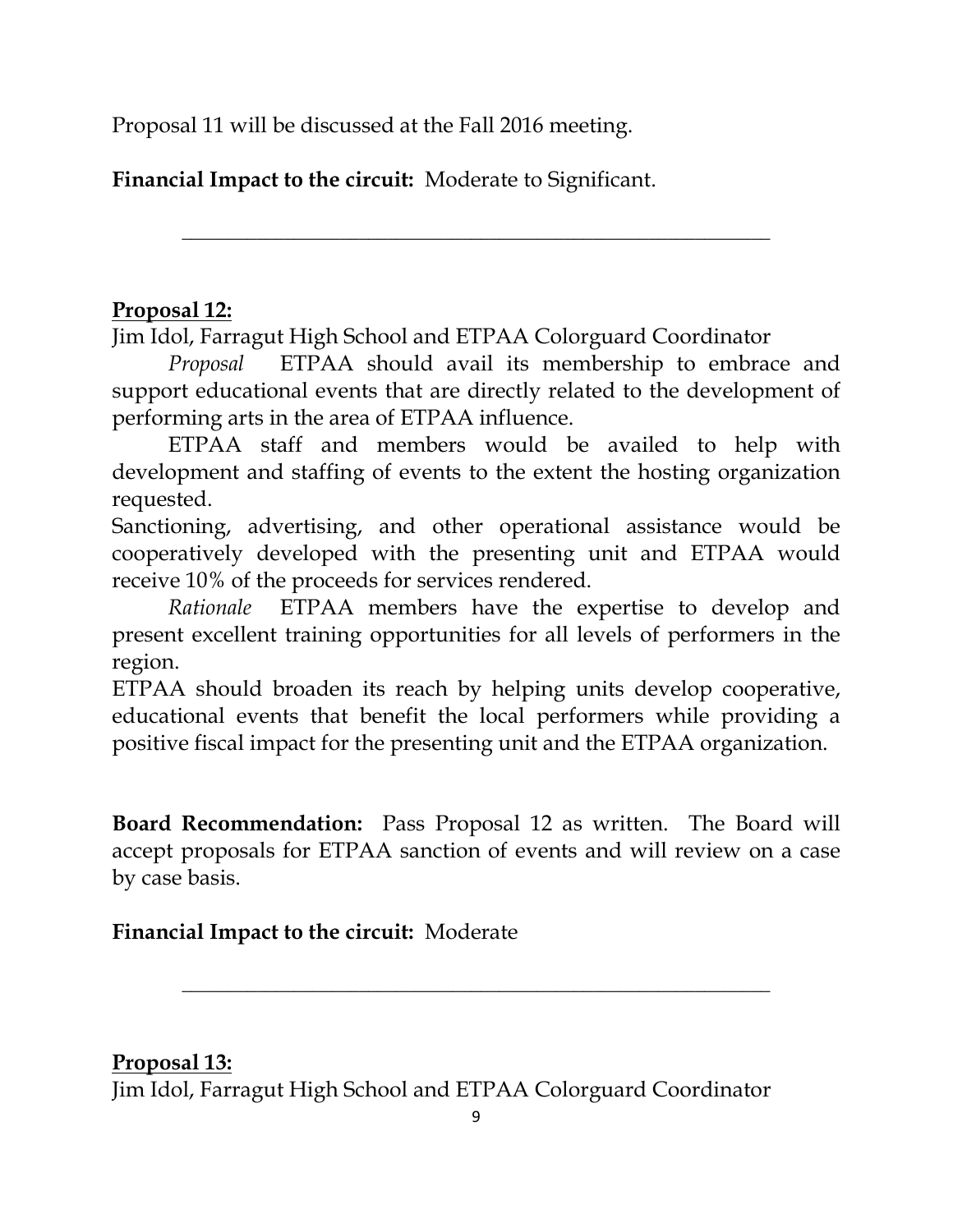Proposal 11 will be discussed at the Fall 2016 meeting.

**Financial Impact to the circuit:** Moderate to Significant.

## **Proposal 12:**

Jim Idol, Farragut High School and ETPAA Colorguard Coordinator

*Proposal* ETPAA should avail its membership to embrace and support educational events that are directly related to the development of performing arts in the area of ETPAA influence.

**\_\_\_\_\_\_\_\_\_\_\_\_\_\_\_\_\_\_\_\_\_\_\_\_\_\_\_\_\_\_\_\_\_\_\_\_\_\_\_\_\_\_\_\_\_\_\_\_\_\_\_\_\_\_\_\_\_\_\_\_\_\_\_**

ETPAA staff and members would be availed to help with development and staffing of events to the extent the hosting organization requested.

Sanctioning, advertising, and other operational assistance would be cooperatively developed with the presenting unit and ETPAA would receive 10% of the proceeds for services rendered.

*Rationale* ETPAA members have the expertise to develop and present excellent training opportunities for all levels of performers in the region.

ETPAA should broaden its reach by helping units develop cooperative, educational events that benefit the local performers while providing a positive fiscal impact for the presenting unit and the ETPAA organization.

**Board Recommendation:** Pass Proposal 12 as written. The Board will accept proposals for ETPAA sanction of events and will review on a case by case basis.

## **Financial Impact to the circuit:** Moderate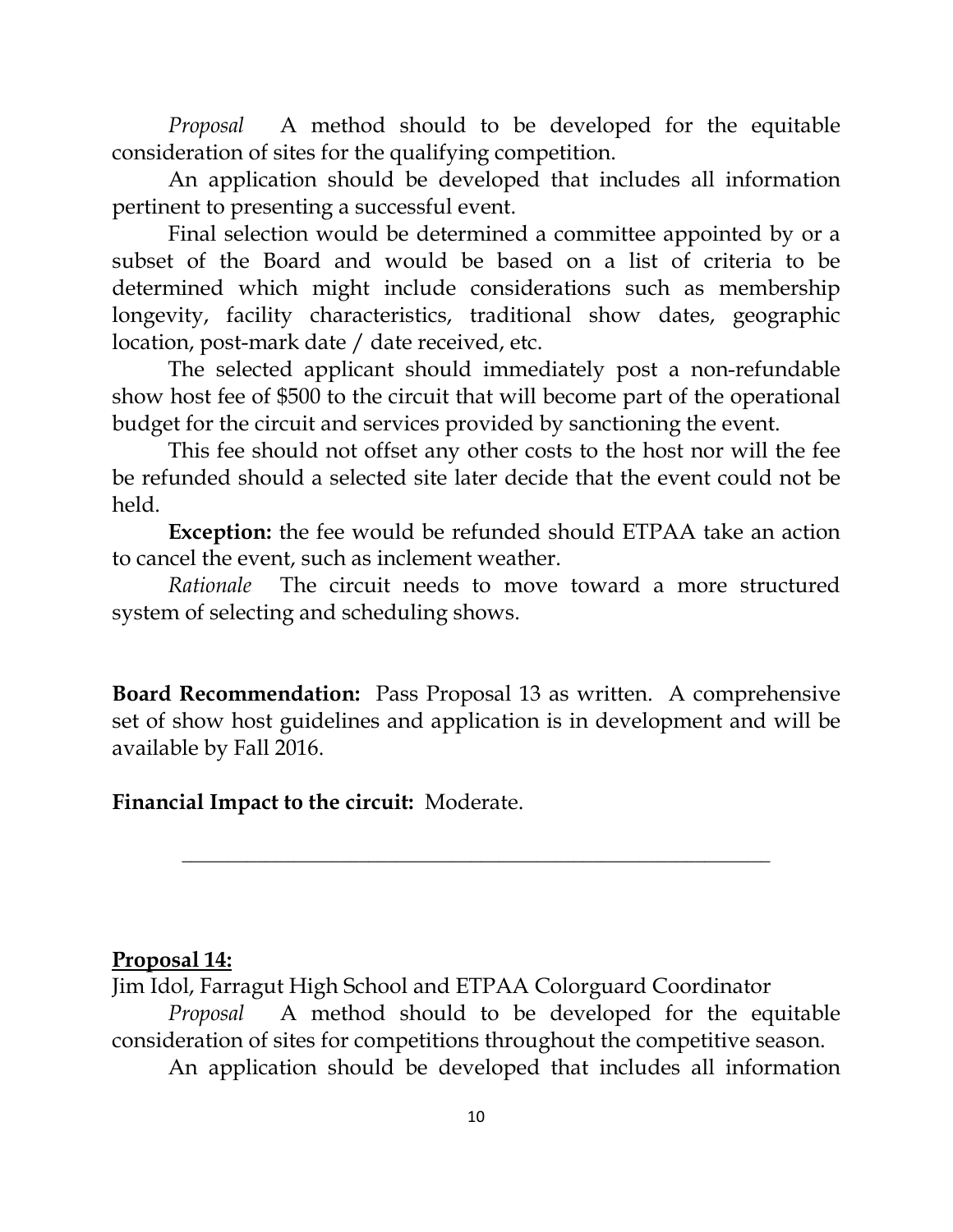*Proposal* A method should to be developed for the equitable consideration of sites for the qualifying competition.

An application should be developed that includes all information pertinent to presenting a successful event.

Final selection would be determined a committee appointed by or a subset of the Board and would be based on a list of criteria to be determined which might include considerations such as membership longevity, facility characteristics, traditional show dates, geographic location, post-mark date / date received, etc.

The selected applicant should immediately post a non-refundable show host fee of \$500 to the circuit that will become part of the operational budget for the circuit and services provided by sanctioning the event.

This fee should not offset any other costs to the host nor will the fee be refunded should a selected site later decide that the event could not be held.

**Exception:** the fee would be refunded should ETPAA take an action to cancel the event, such as inclement weather.

*Rationale* The circuit needs to move toward a more structured system of selecting and scheduling shows.

**Board Recommendation:** Pass Proposal 13 as written. A comprehensive set of show host guidelines and application is in development and will be available by Fall 2016.

**\_\_\_\_\_\_\_\_\_\_\_\_\_\_\_\_\_\_\_\_\_\_\_\_\_\_\_\_\_\_\_\_\_\_\_\_\_\_\_\_\_\_\_\_\_\_\_\_\_\_\_\_\_\_\_\_\_\_\_\_\_\_\_**

**Financial Impact to the circuit:** Moderate.

#### **Proposal 14:**

Jim Idol, Farragut High School and ETPAA Colorguard Coordinator *Proposal* A method should to be developed for the equitable consideration of sites for competitions throughout the competitive season. An application should be developed that includes all information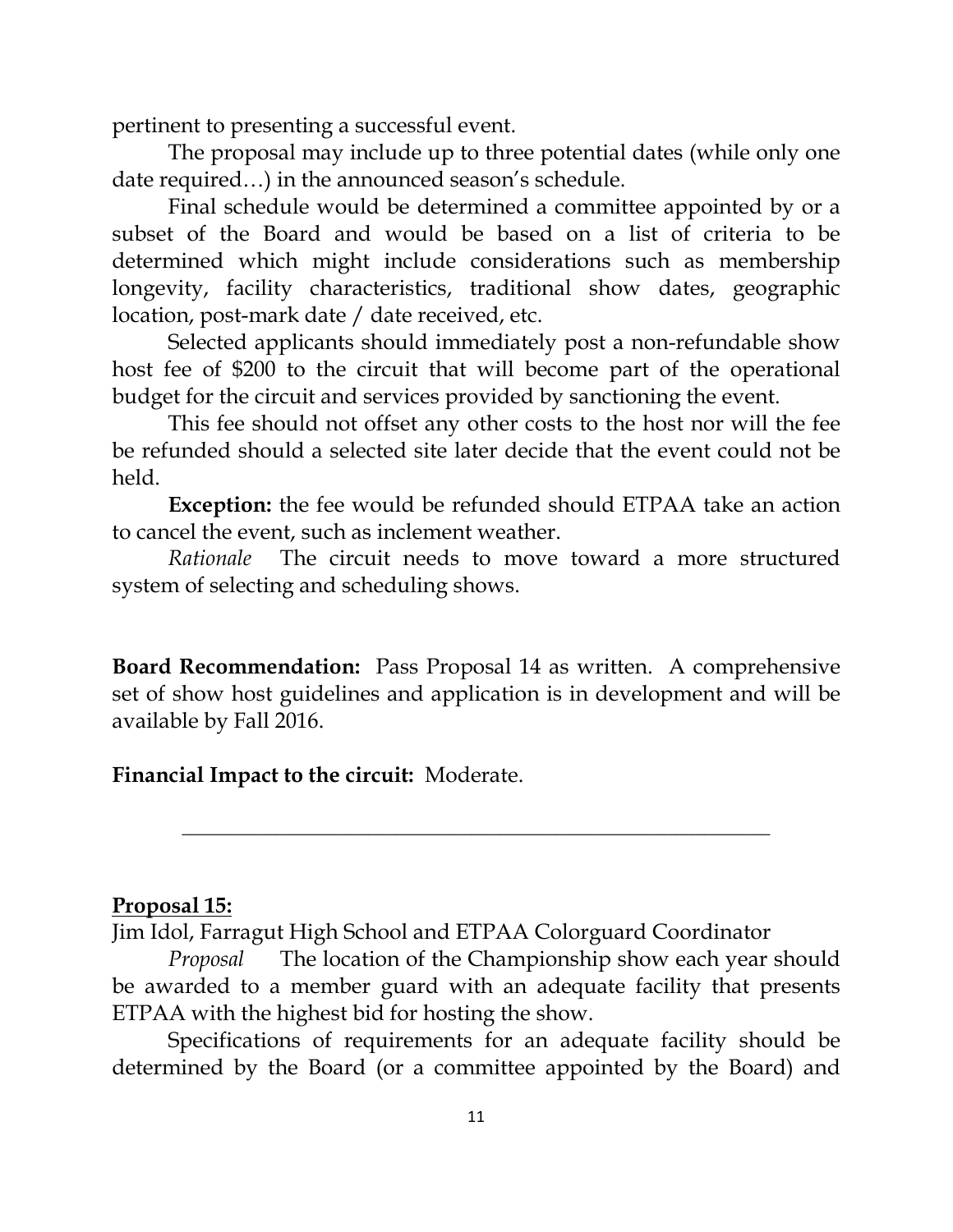pertinent to presenting a successful event.

The proposal may include up to three potential dates (while only one date required…) in the announced season's schedule.

Final schedule would be determined a committee appointed by or a subset of the Board and would be based on a list of criteria to be determined which might include considerations such as membership longevity, facility characteristics, traditional show dates, geographic location, post-mark date / date received, etc.

Selected applicants should immediately post a non-refundable show host fee of \$200 to the circuit that will become part of the operational budget for the circuit and services provided by sanctioning the event.

This fee should not offset any other costs to the host nor will the fee be refunded should a selected site later decide that the event could not be held.

**Exception:** the fee would be refunded should ETPAA take an action to cancel the event, such as inclement weather.

*Rationale* The circuit needs to move toward a more structured system of selecting and scheduling shows.

**Board Recommendation:** Pass Proposal 14 as written. A comprehensive set of show host guidelines and application is in development and will be available by Fall 2016.

**\_\_\_\_\_\_\_\_\_\_\_\_\_\_\_\_\_\_\_\_\_\_\_\_\_\_\_\_\_\_\_\_\_\_\_\_\_\_\_\_\_\_\_\_\_\_\_\_\_\_\_\_\_\_\_\_\_\_\_\_\_\_\_**

**Financial Impact to the circuit:** Moderate.

#### **Proposal 15:**

Jim Idol, Farragut High School and ETPAA Colorguard Coordinator

*Proposal* The location of the Championship show each year should be awarded to a member guard with an adequate facility that presents ETPAA with the highest bid for hosting the show.

Specifications of requirements for an adequate facility should be determined by the Board (or a committee appointed by the Board) and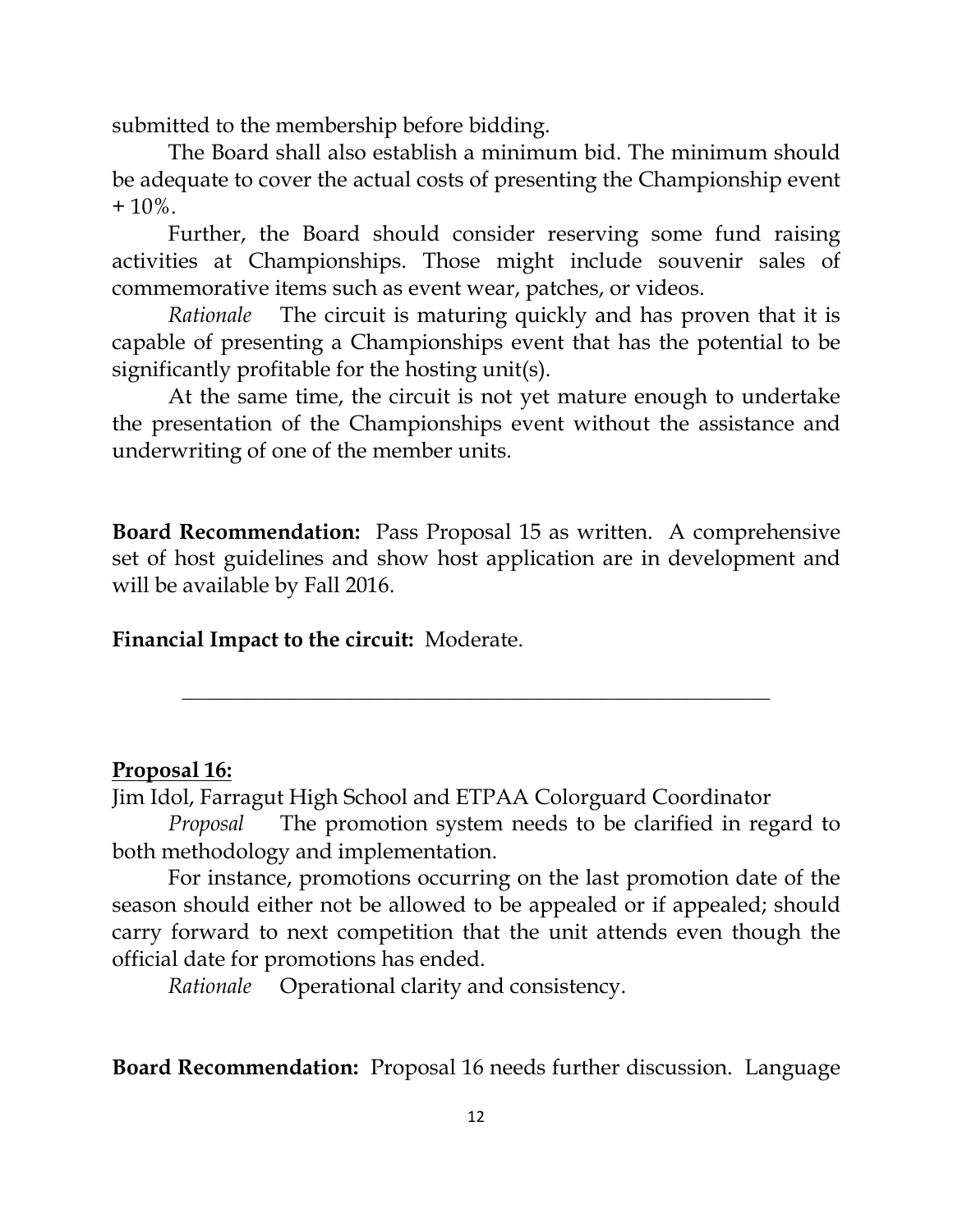submitted to the membership before bidding.

The Board shall also establish a minimum bid. The minimum should be adequate to cover the actual costs of presenting the Championship event  $+10\%$ .

Further, the Board should consider reserving some fund raising activities at Championships. Those might include souvenir sales of commemorative items such as event wear, patches, or videos.

*Rationale* The circuit is maturing quickly and has proven that it is capable of presenting a Championships event that has the potential to be significantly profitable for the hosting unit(s).

At the same time, the circuit is not yet mature enough to undertake the presentation of the Championships event without the assistance and underwriting of one of the member units.

**Board Recommendation:** Pass Proposal 15 as written. A comprehensive set of host guidelines and show host application are in development and will be available by Fall 2016.

**\_\_\_\_\_\_\_\_\_\_\_\_\_\_\_\_\_\_\_\_\_\_\_\_\_\_\_\_\_\_\_\_\_\_\_\_\_\_\_\_\_\_\_\_\_\_\_\_\_\_\_\_\_\_\_\_\_\_\_\_\_\_\_**

**Financial Impact to the circuit:** Moderate.

#### **Proposal 16:**

Jim Idol, Farragut High School and ETPAA Colorguard Coordinator

*Proposal* The promotion system needs to be clarified in regard to both methodology and implementation.

For instance, promotions occurring on the last promotion date of the season should either not be allowed to be appealed or if appealed; should carry forward to next competition that the unit attends even though the official date for promotions has ended.

*Rationale* Operational clarity and consistency.

**Board Recommendation:** Proposal 16 needs further discussion. Language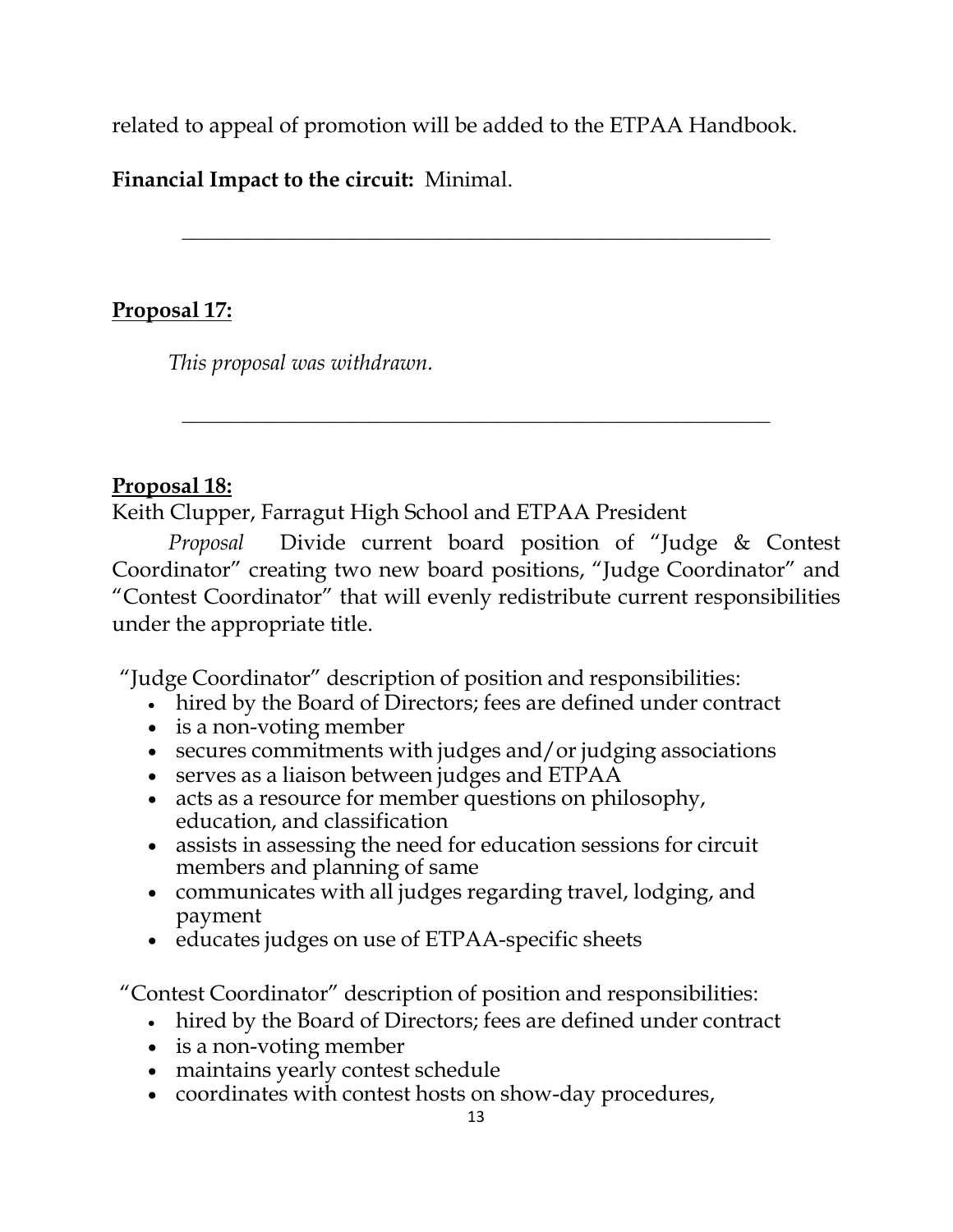related to appeal of promotion will be added to the ETPAA Handbook.

**\_\_\_\_\_\_\_\_\_\_\_\_\_\_\_\_\_\_\_\_\_\_\_\_\_\_\_\_\_\_\_\_\_\_\_\_\_\_\_\_\_\_\_\_\_\_\_\_\_\_\_\_\_\_\_\_\_\_\_\_\_\_\_**

**Financial Impact to the circuit:** Minimal.

## **Proposal 17:**

*This proposal was withdrawn.*

### **Proposal 18:**

Keith Clupper, Farragut High School and ETPAA President

*Proposal* Divide current board position of "Judge & Contest Coordinator" creating two new board positions, "Judge Coordinator" and "Contest Coordinator" that will evenly redistribute current responsibilities under the appropriate title.

**\_\_\_\_\_\_\_\_\_\_\_\_\_\_\_\_\_\_\_\_\_\_\_\_\_\_\_\_\_\_\_\_\_\_\_\_\_\_\_\_\_\_\_\_\_\_\_\_\_\_\_\_\_\_\_\_\_\_\_\_\_\_\_**

"Judge Coordinator" description of position and responsibilities:

- hired by the Board of Directors; fees are defined under contract
- is a non-voting member
- secures commitments with judges and/or judging associations
- serves as a liaison between judges and  $ETPAA$
- acts as a resource for member questions on philosophy, education, and classification
- assists in assessing the need for education sessions for circuit members and planning of same
- communicates with all judges regarding travel, lodging, and payment
- educates judges on use of ETPAA-specific sheets

"Contest Coordinator" description of position and responsibilities:

- hired by the Board of Directors; fees are defined under contract
- is a non-voting member
- maintains yearly contest schedule
- coordinates with contest hosts on show-day procedures,